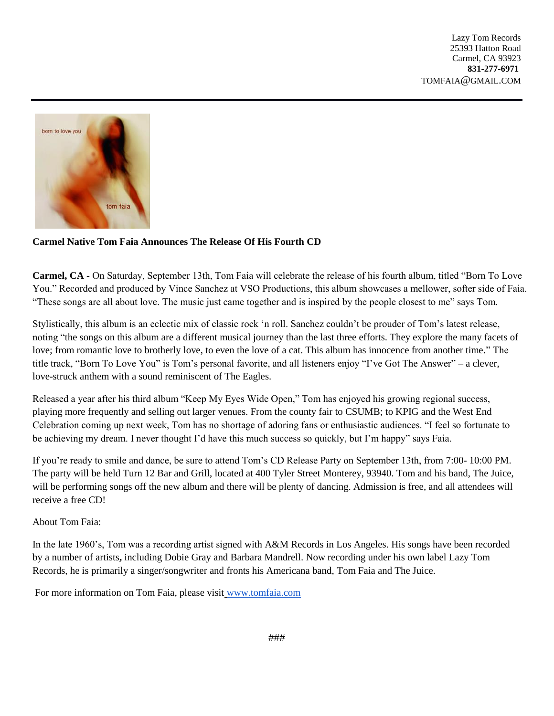

## **Carmel Native Tom Faia Announces The Release Of His Fourth CD**

**Carmel, CA -** On Saturday, September 13th, Tom Faia will celebrate the release of his fourth album, titled "Born To Love You." Recorded and produced by Vince Sanchez at VSO Productions, this album showcases a mellower, softer side of Faia. "These songs are all about love. The music just came together and is inspired by the people closest to me" says Tom.

Stylistically, this album is an eclectic mix of classic rock 'n roll. Sanchez couldn't be prouder of Tom's latest release, noting "the songs on this album are a different musical journey than the last three efforts. They explore the many facets of love; from romantic love to brotherly love, to even the love of a cat. This album has innocence from another time." The title track, "Born To Love You" is Tom's personal favorite, and all listeners enjoy "I've Got The Answer" – a clever, love-struck anthem with a sound reminiscent of The Eagles.

Released a year after his third album "Keep My Eyes Wide Open," Tom has enjoyed his growing regional success, playing more frequently and selling out larger venues. From the county fair to CSUMB; to KPIG and the West End Celebration coming up next week, Tom has no shortage of adoring fans or enthusiastic audiences. "I feel so fortunate to be achieving my dream. I never thought I'd have this much success so quickly, but I'm happy" says Faia.

If you're ready to smile and dance, be sure to attend Tom's CD Release Party on September 13th, from 7:00- 10:00 PM. The party will be held Turn 12 Bar and Grill, located at 400 Tyler Street Monterey, 93940. Tom and his band, The Juice, will be performing songs off the new album and there will be plenty of dancing. Admission is free, and all attendees will receive a free CD!

## About Tom Faia:

In the late 1960's, Tom was a recording artist signed with A&M Records in Los Angeles. His songs have been recorded by a number of artists**,** including Dobie Gray and Barbara Mandrell. Now recording under his own label Lazy Tom Records, he is primarily a singer/songwriter and fronts his Americana band, Tom Faia and The Juice.

For more information on Tom Faia, please visi[t](http://www.tomfaia.com/) www.tomfaia.com